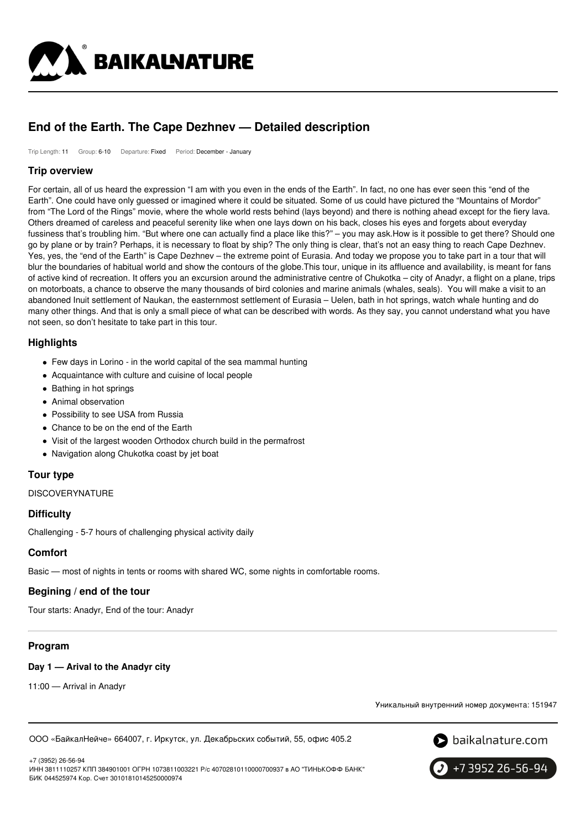

# **End of the Earth. The Cape Dezhnev — Detailed description**

Trip Length: 11 Group: 6-10 Departure: Fixed Period: December - January

#### **Trip overview**

For certain, all of us heard the expression "I am with you even in the ends of the Earth". In fact, no one has ever seen this "end of the Earth". One could have only guessed or imagined where it could be situated. Some of us could have pictured the "Mountains of Mordor" from "The Lord of the Rings" movie, where the whole world rests behind (lays beyond) and there is nothing ahead except for the fiery lava. Others dreamed of careless and peaceful serenity like when one lays down on his back, closes his eyes and forgets about everyday fussiness that's troubling him. "But where one can actually find a place like this?" – you may ask.How is it possible to get there? Should one go by plane or by train? Perhaps, it is necessary to float by ship? The only thing is clear, that's not an easy thing to reach Cape Dezhnev. Yes, yes, the "end of the Earth" is Cape Dezhnev – the extreme point of Eurasia. And today we propose you to take part in a tour that will blur the boundaries of habitual world and show the contours of the globe.This tour, unique in its affluence and availability, is meant for fans of active kind of recreation. It offers you an excursion around the administrative centre of Chukotka – city of Anadyr, a flight on a plane, trips on motorboats, a chance to observe the many thousands of bird colonies and marine animals (whales, seals). You will make a visit to an abandoned Inuit settlement of Naukan, the easternmost settlement of Eurasia – Uelen, bath in hot springs, watch whale hunting and do many other things. And that is only a small piece of what can be described with words. As they say, you cannot understand what you have not seen, so don't hesitate to take part in this tour.

## **Highlights**

- Few days in Lorino in the world capital of the sea mammal hunting
- Acquaintance with culture and cuisine of local people
- Bathing in hot springs
- Animal observation
- Possibility to see USA from Russia
- Chance to be on the end of the Earth
- Visit of the largest wooden Orthodox church build in the permafrost
- Navigation along Chukotka coast by jet boat

## **Tour type**

DISCOVERYNATURE

#### **Difficulty**

Challenging - 5-7 hours of challenging physical activity daily

## **Comfort**

Basic — most of nights in tents or rooms with shared WC, some nights in comfortable rooms.

#### **Begining / end of the tour**

Tour starts: Anadyr, End of the tour: Anadyr

## **Program**

#### **Day 1 — Arival to the Anadyr city**

11:00 — Arrival in Anadyr

Уникальный внутренний номер документа: 151947

ООО «БайкалНейче» 664007, г. Иркутск, ул. Декабрьских событий, 55, офис 405.2



+7 (3952) 26-56-94 ИНН 3811110257 КПП 384901001 ОГРН 1073811003221 Р/с 40702810110000700937 в АО "ТИНЬКОФФ БАНК" БИК 044525974 Кор. Счет 30101810145250000974

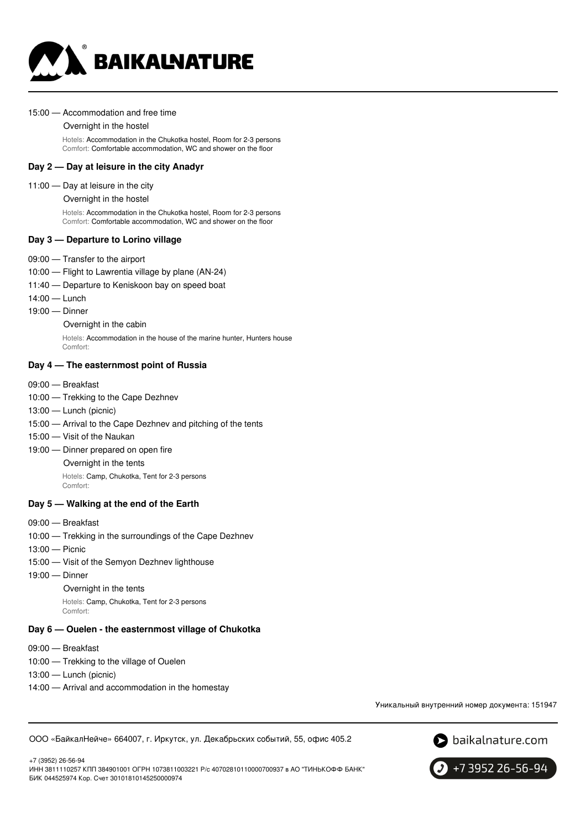

#### 15:00 — Accommodation and free time

#### Overnight in the hostel

Hotels: Accommodation in the Chukotka hostel, Room for 2-3 persons Comfort: Comfortable accommodation, WC and shower on the floor

#### **Day 2 — Day at leisure in the city Anadyr**

#### 11:00 — Day at leisure in the city

Overnight in the hostel

Hotels: Accommodation in the Chukotka hostel, Room for 2-3 persons Comfort: Comfortable accommodation, WC and shower on the floor

#### **Day 3 — Departure to Lorino village**

- 09:00 Transfer to the airport
- 10:00 Flight to Lawrentia village by plane (AN-24)
- 11:40 Departure to Keniskoon bay on speed boat
- 14:00 Lunch
- 19:00 Dinner

Overnight in the cabin

Hotels: Accommodation in the house of the marine hunter, Hunters house Comfort:

#### **Day 4 — The easternmost point of Russia**

- 09:00 Breakfast
- 10:00 Trekking to the Cape Dezhnev
- 13:00 Lunch (picnic)
- 15:00 Arrival to the Cape Dezhnev and pitching of the tents
- 15:00 Visit of the Naukan
- 19:00 Dinner prepared on open fire Overnight in the tents
	- Hotels: Camp, Chukotka, Tent for 2-3 persons
		- Comfort:

#### **Day 5 — Walking at the end of the Earth**

- 09:00 Breakfast
- 10:00 Trekking in the surroundings of the Cape Dezhnev
- 13:00 Picnic
- 15:00 Visit of the Semyon Dezhnev lighthouse
- 19:00 Dinner
	- Overnight in the tents

Hotels: Camp, Chukotka, Tent for 2-3 persons Comfort:

#### **Day 6 — Ouelen - the easternmost village of Chukotka**

09:00 — Breakfast

+7 (3952) 26-56-94

- 10:00 Trekking to the village of Ouelen
- 13:00 Lunch (picnic)
- 14:00 Arrival and accommodation in the homestay

Уникальный внутренний номер документа: 151947

ООО «БайкалНейче» 664007, г. Иркутск, ул. Декабрьских событий, 55, офис 405.2





ИНН 3811110257 КПП 384901001 ОГРН 1073811003221 Р/с 40702810110000700937 в АО "ТИНЬКОФФ БАНК" БИК 044525974 Кор. Счет 30101810145250000974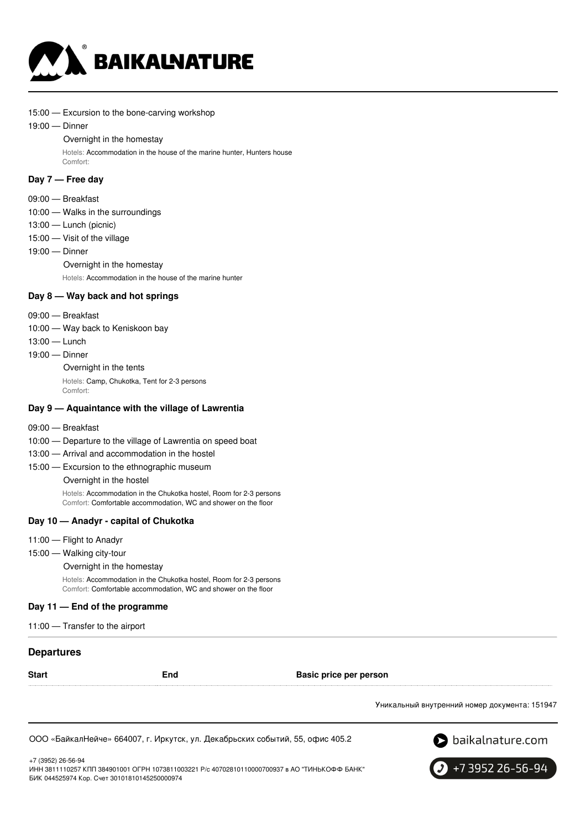

- 15:00 Excursion to the bone-carving workshop
- 19:00 Dinner

#### Overnight in the homestay

Hotels: Accommodation in the house of the marine hunter, Hunters house Comfort:

#### **Day 7 — Free day**

- 09:00 Breakfast
- 10:00 Walks in the surroundings
- 13:00 Lunch (picnic)
- 15:00 Visit of the village
- 19:00 Dinner
	- Overnight in the homestay

Hotels: Accommodation in the house of the marine hunter

#### **Day 8 — Way back and hot springs**

- 09:00 Breakfast
- 10:00 Way back to Keniskoon bay
- 13:00 Lunch
- 19:00 Dinner

Overnight in the tents

Hotels: Camp, Chukotka, Tent for 2-3 persons Comfort:

#### **Day 9 — Aquaintance with the village of Lawrentia**

- 09:00 Breakfast
- 10:00 Departure to the village of Lawrentia on speed boat
- 13:00 Arrival and accommodation in the hostel
- 15:00 Excursion to the ethnographic museum Overnight in the hostel

Hotels: Accommodation in the Chukotka hostel, Room for 2-3 persons Comfort: Comfortable accommodation, WC and shower on the floor

#### **Day 10 — Anadyr - capital of Chukotka**

- 11:00 Flight to Anadyr
- 15:00 Walking city-tour

Overnight in the homestay

Hotels: Accommodation in the Chukotka hostel, Room for 2-3 persons Comfort: Comfortable accommodation, WC and shower on the floor

#### **Day 11 — End of the programme**

11:00 — Transfer to the airport

#### **Departures**

**Start End Basic price per person**

Уникальный внутренний номер документа: 151947

ООО «БайкалНейче» 664007, г. Иркутск, ул. Декабрьских событий, 55, офис 405.2



+7 (3952) 26-56-94

ИНН 3811110257 КПП 384901001 ОГРН 1073811003221 Р/с 40702810110000700937 в АО "ТИНЬКОФФ БАНК" БИК 044525974 Кор. Счет 30101810145250000974

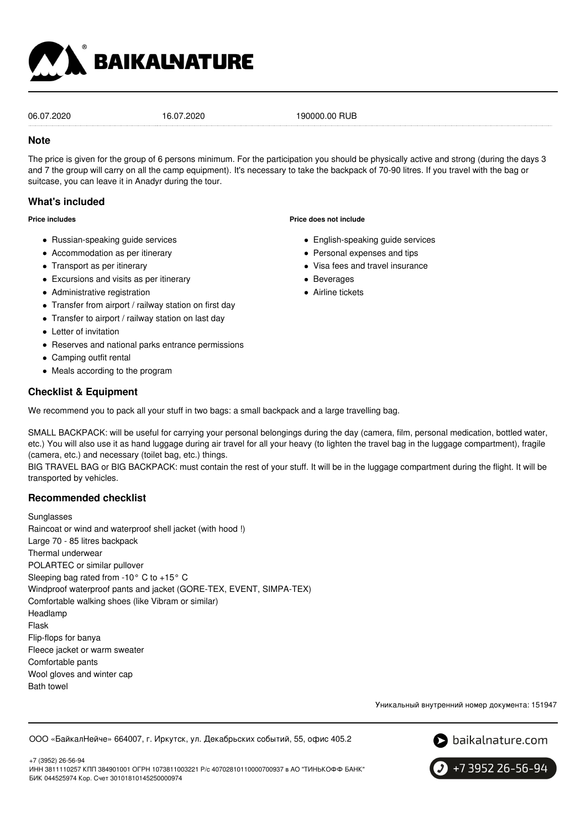

06.07.2020 16.07.2020 190000.00 RUB

### **Note**

The price is given for the group of 6 persons minimum. For the participation you should be physically active and strong (during the days 3 and 7 the group will carry on all the camp equipment). It's necessary to take the backpack of 70-90 litres. If you travel with the bag or suitcase, you can leave it in Anadyr during the tour.

## **What's included**

**Price includes**

- Russian-speaking guide services
- Accommodation as per itinerary
- Transport as per itinerary
- Excursions and visits as per itinerary
- Administrative registration
- Transfer from airport / railway station on first day
- Transfer to airport / railway station on last day
- Letter of invitation
- Reserves and national parks entrance permissions
- Camping outfit rental
- Meals according to the program

## **Checklist & Equipment**

We recommend you to pack all your stuff in two bags: a small backpack and a large travelling bag.

SMALL BACKPACK: will be useful for carrying your personal belongings during the day (camera, film, personal medication, bottled water, etc.) You will also use it as hand luggage during air travel for all your heavy (to lighten the travel bag in the luggage compartment), fragile (camera, etc.) and necessary (toilet bag, etc.) things.

BIG TRAVEL BAG or BIG BACKPACK: must contain the rest of your stuff. It will be in the luggage compartment during the flight. It will be transported by vehicles.

## **Recommended checklist**

**Sunglasses** Raincoat or wind and waterproof shell jacket (with hood !) Large 70 - 85 litres backpack Thermal underwear POLARTEC or similar pullover Sleeping bag rated from -10° C to +15° C Windproof waterproof pants and jacket (GORE-TEX, EVENT, SIMPA-TEX) Comfortable walking shoes (like Vibram or similar) Headlamp Flask Flip-flops for banya Fleece jacket or warm sweater Comfortable pants Wool gloves and winter cap Bath towel

Уникальный внутренний номер документа: 151947

ООО «БайкалНейче» 664007, г. Иркутск, ул. Декабрьских событий, 55, офис 405.2





- English-speaking guide services
- Personal expenses and tips
- Visa fees and travel insurance
- Beverages

**Price does not include**

Airline tickets

+7 3952 26-56-94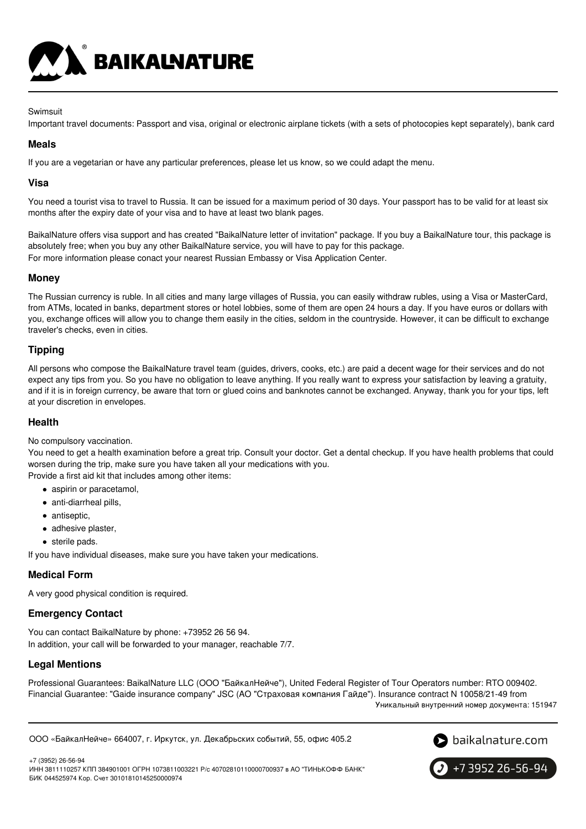

#### **Swimsuit**

Important travel documents: Passport and visa, original or electronic airplane tickets (with a sets of photocopies kept separately), bank card

### **Meals**

If you are a vegetarian or have any particular preferences, please let us know, so we could adapt the menu.

### **Visa**

You need a tourist visa to travel to Russia. It can be issued for a maximum period of 30 days. Your passport has to be valid for at least six months after the expiry date of your visa and to have at least two blank pages.

BaikalNature offers visa support and has created "BaikalNature letter of invitation" package. If you buy a BaikalNature tour, this package is absolutely free; when you buy any other BaikalNature service, you will have to pay for this package. For more information please conact your nearest Russian Embassy or Visa Application Center.

#### **Money**

The Russian currency is ruble. In all cities and many large villages of Russia, you can easily withdraw rubles, using a Visa or MasterCard, from ATMs, located in banks, department stores or hotel lobbies, some of them are open 24 hours a day. If you have euros or dollars with you, exchange offices will allow you to change them easily in the cities, seldom in the countryside. However, it can be difficult to exchange traveler's checks, even in cities.

## **Tipping**

All persons who compose the BaikalNature travel team (guides, drivers, cooks, etc.) are paid a decent wage for their services and do not expect any tips from you. So you have no obligation to leave anything. If you really want to express your satisfaction by leaving a gratuity, and if it is in foreign currency, be aware that torn or glued coins and banknotes cannot be exchanged. Anyway, thank you for your tips, left at your discretion in envelopes.

#### **Health**

#### No compulsory vaccination.

You need to get a health examination before a great trip. Consult your doctor. Get a dental checkup. If you have health problems that could worsen during the trip, make sure you have taken all your medications with you.

Provide a first aid kit that includes among other items:

- aspirin or paracetamol,
- anti-diarrheal pills,
- antiseptic,
- adhesive plaster,
- sterile pads.

If you have individual diseases, make sure you have taken your medications.

## **Medical Form**

A very good physical condition is required.

## **Emergency Contact**

You can contact BaikalNature by phone: +73952 26 56 94. In addition, your call will be forwarded to your manager, reachable 7/7.

## **Legal Mentions**

Professional Guarantees: BaikalNature LLC (ООО "БайкалНейче"), United Federal Register of Tour Operators number: RTO 009402. Financial Guarantee: "Gaide insurance company" JSC (АО "Страховая компания Гайде"). Insurance contract N 10058/21-49 from Уникальный внутренний номер документа: 151947

ООО «БайкалНейче» 664007, г. Иркутск, ул. Декабрьских событий, 55, офис 405.2



+7 (3952) 26-56-94 ИНН 3811110257 КПП 384901001 ОГРН 1073811003221 Р/с 40702810110000700937 в АО "ТИНЬКОФФ БАНК" БИК 044525974 Кор. Счет 30101810145250000974